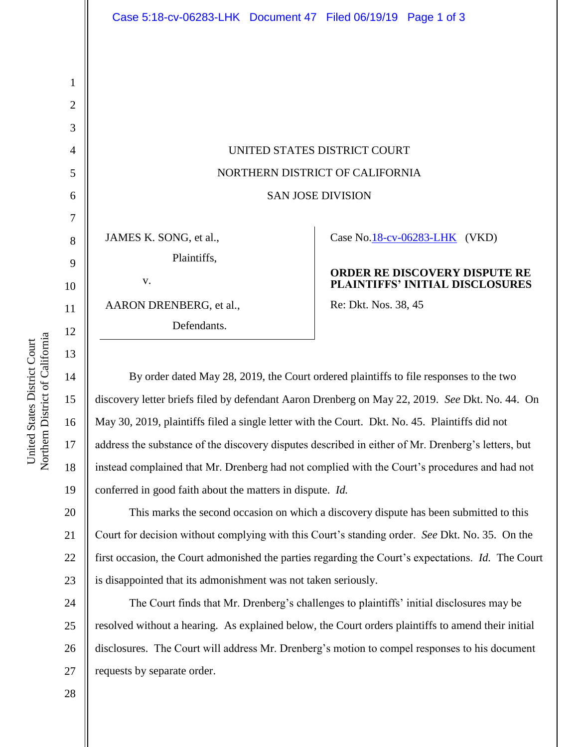UNITED STATES DISTRICT COURT NORTHERN DISTRICT OF CALIFORNIA SAN JOSE DIVISION

JAMES K. SONG, et al., Plaintiffs,

v.

AARON DRENBERG, et al., Defendants.

Case No[.18-cv-06283-LHK](https://ecf.cand.uscourts.gov/cgi-bin/DktRpt.pl?333377) (VKD)

## **ORDER RE DISCOVERY DISPUTE RE PLAINTIFFS' INITIAL DISCLOSURES**

Re: Dkt. Nos. 38, 45

By order dated May 28, 2019, the Court ordered plaintiffs to file responses to the two discovery letter briefs filed by defendant Aaron Drenberg on May 22, 2019. *See* Dkt. No. 44. On May 30, 2019, plaintiffs filed a single letter with the Court. Dkt. No. 45. Plaintiffs did not address the substance of the discovery disputes described in either of Mr. Drenberg's letters, but instead complained that Mr. Drenberg had not complied with the Court's procedures and had not conferred in good faith about the matters in dispute. *Id.*

20 21 22 23 This marks the second occasion on which a discovery dispute has been submitted to this Court for decision without complying with this Court's standing order. *See* Dkt. No. 35. On the first occasion, the Court admonished the parties regarding the Court's expectations. *Id.* The Court is disappointed that its admonishment was not taken seriously.

24 25 26 27 The Court finds that Mr. Drenberg's challenges to plaintiffs' initial disclosures may be resolved without a hearing. As explained below, the Court orders plaintiffs to amend their initial disclosures. The Court will address Mr. Drenberg's motion to compel responses to his document requests by separate order.

1

2

3

4

5

6

7

8

9

10

11

12

13

14

15

16

17

18

19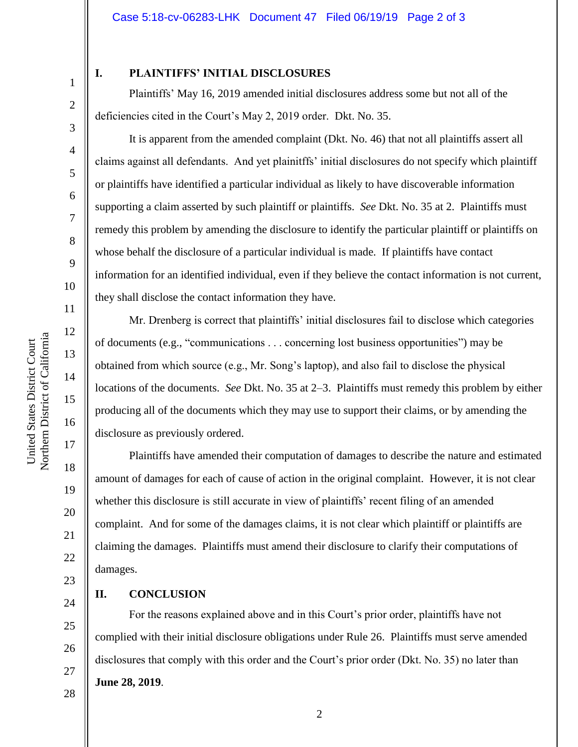5

6

7

8

9

10

11

12

13

14

15

16

17

18

19

20

21

22

23

24

25

26

27

## **I. PLAINTIFFS' INITIAL DISCLOSURES**

Plaintiffs' May 16, 2019 amended initial disclosures address some but not all of the deficiencies cited in the Court's May 2, 2019 order. Dkt. No. 35.

It is apparent from the amended complaint (Dkt. No. 46) that not all plaintiffs assert all claims against all defendants. And yet plainitffs' initial disclosures do not specify which plaintiff or plaintiffs have identified a particular individual as likely to have discoverable information supporting a claim asserted by such plaintiff or plaintiffs. *See* Dkt. No. 35 at 2. Plaintiffs must remedy this problem by amending the disclosure to identify the particular plaintiff or plaintiffs on whose behalf the disclosure of a particular individual is made. If plaintiffs have contact information for an identified individual, even if they believe the contact information is not current, they shall disclose the contact information they have.

Mr. Drenberg is correct that plaintiffs' initial disclosures fail to disclose which categories of documents (e.g., "communications . . . concerning lost business opportunities") may be obtained from which source (e.g., Mr. Song's laptop), and also fail to disclose the physical locations of the documents. *See* Dkt. No. 35 at 2–3. Plaintiffs must remedy this problem by either producing all of the documents which they may use to support their claims, or by amending the disclosure as previously ordered.

Plaintiffs have amended their computation of damages to describe the nature and estimated amount of damages for each of cause of action in the original complaint. However, it is not clear whether this disclosure is still accurate in view of plaintiffs' recent filing of an amended complaint. And for some of the damages claims, it is not clear which plaintiff or plaintiffs are claiming the damages. Plaintiffs must amend their disclosure to clarify their computations of damages.

## **II. CONCLUSION**

For the reasons explained above and in this Court's prior order, plaintiffs have not complied with their initial disclosure obligations under Rule 26. Plaintiffs must serve amended disclosures that comply with this order and the Court's prior order (Dkt. No. 35) no later than

**June 28, 2019**.

28